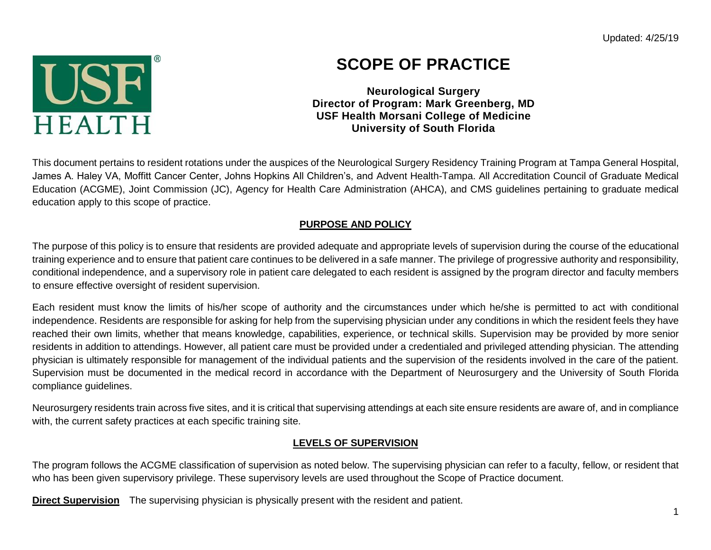Updated: 4/25/19



# **SCOPE OF PRACTICE**

**Neurological Surgery Director of Program: Mark Greenberg, MD USF Health Morsani College of Medicine University of South Florida**

This document pertains to resident rotations under the auspices of the Neurological Surgery Residency Training Program at Tampa General Hospital, James A. Haley VA, Moffitt Cancer Center, Johns Hopkins All Children's, and Advent Health-Tampa. All Accreditation Council of Graduate Medical Education (ACGME), Joint Commission (JC), Agency for Health Care Administration (AHCA), and CMS guidelines pertaining to graduate medical education apply to this scope of practice.

### **PURPOSE AND POLICY**

The purpose of this policy is to ensure that residents are provided adequate and appropriate levels of supervision during the course of the educational training experience and to ensure that patient care continues to be delivered in a safe manner. The privilege of progressive authority and responsibility, conditional independence, and a supervisory role in patient care delegated to each resident is assigned by the program director and faculty members to ensure effective oversight of resident supervision.

Each resident must know the limits of his/her scope of authority and the circumstances under which he/she is permitted to act with conditional independence. Residents are responsible for asking for help from the supervising physician under any conditions in which the resident feels they have reached their own limits, whether that means knowledge, capabilities, experience, or technical skills. Supervision may be provided by more senior residents in addition to attendings. However, all patient care must be provided under a credentialed and privileged attending physician. The attending physician is ultimately responsible for management of the individual patients and the supervision of the residents involved in the care of the patient. Supervision must be documented in the medical record in accordance with the Department of Neurosurgery and the University of South Florida compliance guidelines.

Neurosurgery residents train across five sites, and it is critical that supervising attendings at each site ensure residents are aware of, and in compliance with, the current safety practices at each specific training site.

## **LEVELS OF SUPERVISION**

The program follows the ACGME classification of supervision as noted below. The supervising physician can refer to a faculty, fellow, or resident that who has been given supervisory privilege. These supervisory levels are used throughout the Scope of Practice document.

**Direct Supervision** The supervising physician is physically present with the resident and patient.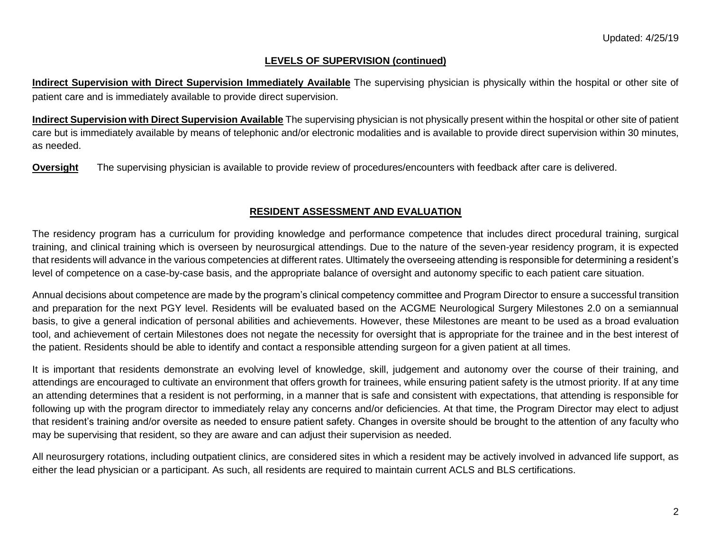#### **LEVELS OF SUPERVISION (continued)**

**Indirect Supervision with Direct Supervision Immediately Available** The supervising physician is physically within the hospital or other site of patient care and is immediately available to provide direct supervision.

**Indirect Supervision with Direct Supervision Available** The supervising physician is not physically present within the hospital or other site of patient care but is immediately available by means of telephonic and/or electronic modalities and is available to provide direct supervision within 30 minutes, as needed.

**Oversight** The supervising physician is available to provide review of procedures/encounters with feedback after care is delivered.

#### **RESIDENT ASSESSMENT AND EVALUATION**

The residency program has a curriculum for providing knowledge and performance competence that includes direct procedural training, surgical training, and clinical training which is overseen by neurosurgical attendings. Due to the nature of the seven-year residency program, it is expected that residents will advance in the various competencies at different rates. Ultimately the overseeing attending is responsible for determining a resident's level of competence on a case-by-case basis, and the appropriate balance of oversight and autonomy specific to each patient care situation.

Annual decisions about competence are made by the program's clinical competency committee and Program Director to ensure a successful transition and preparation for the next PGY level. Residents will be evaluated based on the ACGME Neurological Surgery Milestones 2.0 on a semiannual basis, to give a general indication of personal abilities and achievements. However, these Milestones are meant to be used as a broad evaluation tool, and achievement of certain Milestones does not negate the necessity for oversight that is appropriate for the trainee and in the best interest of the patient. Residents should be able to identify and contact a responsible attending surgeon for a given patient at all times.

It is important that residents demonstrate an evolving level of knowledge, skill, judgement and autonomy over the course of their training, and attendings are encouraged to cultivate an environment that offers growth for trainees, while ensuring patient safety is the utmost priority. If at any time an attending determines that a resident is not performing, in a manner that is safe and consistent with expectations, that attending is responsible for following up with the program director to immediately relay any concerns and/or deficiencies. At that time, the Program Director may elect to adjust that resident's training and/or oversite as needed to ensure patient safety. Changes in oversite should be brought to the attention of any faculty who may be supervising that resident, so they are aware and can adjust their supervision as needed.

All neurosurgery rotations, including outpatient clinics, are considered sites in which a resident may be actively involved in advanced life support, as either the lead physician or a participant. As such, all residents are required to maintain current ACLS and BLS certifications.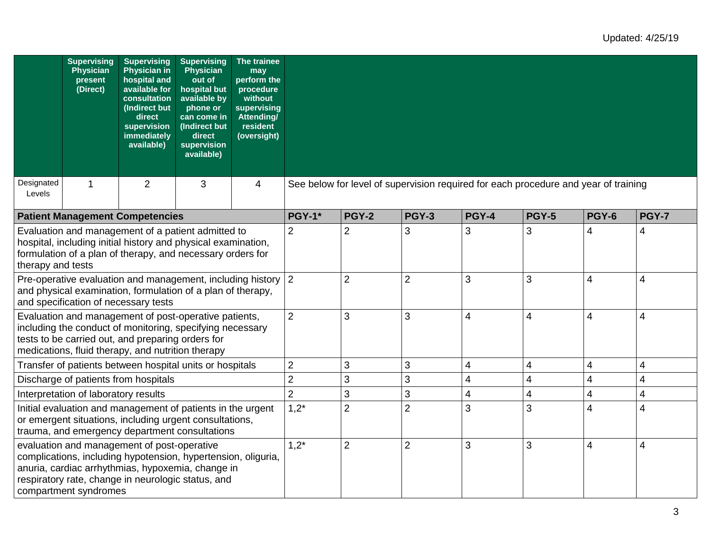|                      | <b>Supervising</b><br><b>Physician</b><br>present<br>(Direct) | <b>Supervising</b><br><b>Physician in</b><br>hospital and<br>available for<br>consultation<br>(Indirect but<br>direct<br>supervision<br>immediately<br>available)                                                            | <b>Supervising</b><br><b>Physician</b><br>out of<br>hospital but<br>available by<br>phone or<br>can come in<br>(Indirect but<br>direct<br>supervision<br>available) | The trainee<br>may<br>perform the<br>procedure<br>without<br>supervising<br>Attending/<br>resident<br>(oversight) |                                                                                     |                |                |       |                |                         |              |
|----------------------|---------------------------------------------------------------|------------------------------------------------------------------------------------------------------------------------------------------------------------------------------------------------------------------------------|---------------------------------------------------------------------------------------------------------------------------------------------------------------------|-------------------------------------------------------------------------------------------------------------------|-------------------------------------------------------------------------------------|----------------|----------------|-------|----------------|-------------------------|--------------|
| Designated<br>Levels | 1                                                             | 2                                                                                                                                                                                                                            | 3                                                                                                                                                                   | $\overline{4}$                                                                                                    | See below for level of supervision required for each procedure and year of training |                |                |       |                |                         |              |
|                      |                                                               | <b>Patient Management Competencies</b>                                                                                                                                                                                       |                                                                                                                                                                     |                                                                                                                   | <b>PGY-1*</b>                                                                       | <b>PGY-2</b>   | <b>PGY-3</b>   | PGY-4 | <b>PGY-5</b>   | <b>PGY-6</b>            | <b>PGY-7</b> |
| therapy and tests    |                                                               | Evaluation and management of a patient admitted to<br>hospital, including initial history and physical examination,<br>formulation of a plan of therapy, and necessary orders for                                            |                                                                                                                                                                     |                                                                                                                   | $\overline{2}$                                                                      | $\overline{2}$ | 3              | 3     | 3              | 4                       | 4            |
|                      |                                                               | Pre-operative evaluation and management, including history 2<br>and physical examination, formulation of a plan of therapy,<br>and specification of necessary tests                                                          |                                                                                                                                                                     |                                                                                                                   |                                                                                     | $\overline{2}$ | 2              | 3     | 3              | 4                       | 4            |
|                      |                                                               | Evaluation and management of post-operative patients,<br>including the conduct of monitoring, specifying necessary<br>tests to be carried out, and preparing orders for<br>medications, fluid therapy, and nutrition therapy |                                                                                                                                                                     |                                                                                                                   | $\overline{2}$                                                                      | 3              | 3              | 4     | $\overline{4}$ | 4                       | 4            |
|                      |                                                               | Transfer of patients between hospital units or hospitals                                                                                                                                                                     |                                                                                                                                                                     |                                                                                                                   | $\overline{2}$                                                                      | 3              | 3              | 4     | 4              | 4                       | 4            |
|                      |                                                               | Discharge of patients from hospitals                                                                                                                                                                                         |                                                                                                                                                                     |                                                                                                                   | $\overline{2}$                                                                      | 3              | 3              | 4     | 4              | $\overline{\mathbf{4}}$ | 4            |
|                      | Interpretation of laboratory results                          |                                                                                                                                                                                                                              |                                                                                                                                                                     |                                                                                                                   | $\overline{2}$                                                                      | 3              | 3              | 4     | 4              | 4                       | 4            |
|                      |                                                               | Initial evaluation and management of patients in the urgent<br>or emergent situations, including urgent consultations,<br>trauma, and emergency department consultations                                                     |                                                                                                                                                                     |                                                                                                                   | $1,2^*$                                                                             | $\overline{2}$ | $\overline{2}$ | 3     | 3              | 4                       | 4            |
|                      | compartment syndromes                                         | evaluation and management of post-operative<br>complications, including hypotension, hypertension, oliguria,<br>anuria, cardiac arrhythmias, hypoxemia, change in<br>respiratory rate, change in neurologic status, and      |                                                                                                                                                                     |                                                                                                                   | $1,2^*$                                                                             | $\overline{2}$ | $\overline{2}$ | 3     | 3              | 4                       | 4            |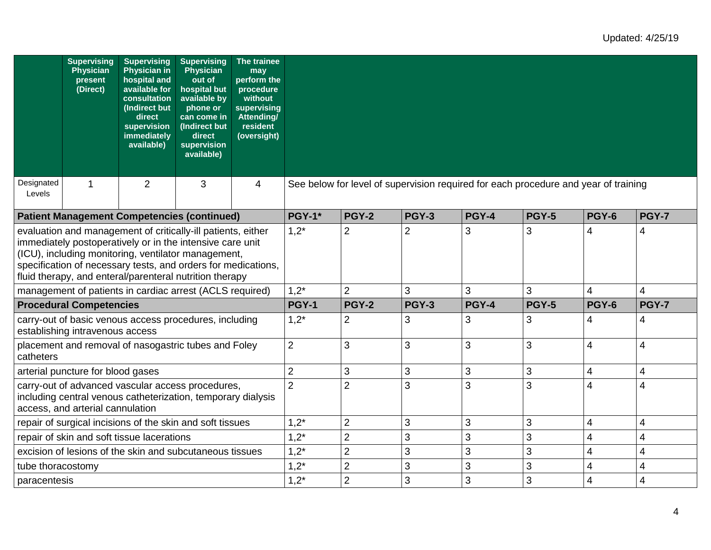|                      | <b>Supervising</b><br>Physician<br>present<br>(Direct) | <b>Supervising</b><br><b>Physician in</b><br>hospital and<br>available for<br>consultation<br>(Indirect but<br>direct<br>supervision<br>immediately<br>available)                                                                                                                                            | <b>Supervising</b><br><b>Physician</b><br>out of<br>hospital but<br>available by<br>phone or<br>can come in<br>(Indirect but<br>direct<br>supervision<br>available) | The trainee<br>may<br>perform the<br>procedure<br>without<br>supervising<br><b>Attending/</b><br>resident<br>(oversight) |                                                                                     |                |              |              |              |                |              |
|----------------------|--------------------------------------------------------|--------------------------------------------------------------------------------------------------------------------------------------------------------------------------------------------------------------------------------------------------------------------------------------------------------------|---------------------------------------------------------------------------------------------------------------------------------------------------------------------|--------------------------------------------------------------------------------------------------------------------------|-------------------------------------------------------------------------------------|----------------|--------------|--------------|--------------|----------------|--------------|
| Designated<br>Levels | 1                                                      | 2                                                                                                                                                                                                                                                                                                            | 3                                                                                                                                                                   | 4                                                                                                                        | See below for level of supervision required for each procedure and year of training |                |              |              |              |                |              |
|                      |                                                        | <b>Patient Management Competencies (continued)</b>                                                                                                                                                                                                                                                           |                                                                                                                                                                     |                                                                                                                          | <b>PGY-1*</b>                                                                       | <b>PGY-2</b>   | PGY-3        | PGY-4        | <b>PGY-5</b> | <b>PGY-6</b>   | <b>PGY-7</b> |
|                      |                                                        | evaluation and management of critically-ill patients, either<br>immediately postoperatively or in the intensive care unit<br>(ICU), including monitoring, ventilator management,<br>specification of necessary tests, and orders for medications,<br>fluid therapy, and enteral/parenteral nutrition therapy |                                                                                                                                                                     |                                                                                                                          | $1,2^*$                                                                             | $\overline{2}$ | 2            | 3            | 3            | 4              | 4            |
|                      |                                                        | management of patients in cardiac arrest (ACLS required)                                                                                                                                                                                                                                                     |                                                                                                                                                                     |                                                                                                                          | $1,2^*$                                                                             | $\overline{2}$ | 3            | 3            | 3            | $\overline{4}$ | 4            |
|                      | <b>Procedural Competencies</b>                         |                                                                                                                                                                                                                                                                                                              |                                                                                                                                                                     |                                                                                                                          | <b>PGY-1</b>                                                                        | <b>PGY-2</b>   | <b>PGY-3</b> | <b>PGY-4</b> | <b>PGY-5</b> | <b>PGY-6</b>   | <b>PGY-7</b> |
|                      | establishing intravenous access                        | carry-out of basic venous access procedures, including                                                                                                                                                                                                                                                       |                                                                                                                                                                     |                                                                                                                          | $1,2^*$                                                                             | $\overline{2}$ | 3            | 3            | 3            | 4              | 4            |
| catheters            |                                                        | placement and removal of nasogastric tubes and Foley                                                                                                                                                                                                                                                         |                                                                                                                                                                     |                                                                                                                          | $\overline{2}$                                                                      | 3              | 3            | 3            | 3            | 4              | 4            |
|                      | arterial puncture for blood gases                      |                                                                                                                                                                                                                                                                                                              |                                                                                                                                                                     |                                                                                                                          | $\overline{2}$                                                                      | 3              | 3            | 3            | 3            | 4              | 4            |
|                      | access, and arterial cannulation                       | carry-out of advanced vascular access procedures,<br>including central venous catheterization, temporary dialysis                                                                                                                                                                                            |                                                                                                                                                                     |                                                                                                                          | $\overline{2}$                                                                      | $\overline{2}$ | 3            | 3            | 3            | 4              | 4            |
|                      |                                                        | repair of surgical incisions of the skin and soft tissues                                                                                                                                                                                                                                                    |                                                                                                                                                                     |                                                                                                                          | $1,2^*$                                                                             | $\overline{2}$ | 3            | 3            | 3            | 4              | 4            |
|                      |                                                        | repair of skin and soft tissue lacerations                                                                                                                                                                                                                                                                   |                                                                                                                                                                     |                                                                                                                          | $1,2^*$                                                                             | $\overline{2}$ | 3            | 3            | 3            | 4              | 4            |
|                      |                                                        | excision of lesions of the skin and subcutaneous tissues                                                                                                                                                                                                                                                     |                                                                                                                                                                     |                                                                                                                          | $1,2^*$                                                                             | $\overline{2}$ | 3            | 3            | 3            | 4              | 4            |
| tube thoracostomy    |                                                        |                                                                                                                                                                                                                                                                                                              |                                                                                                                                                                     |                                                                                                                          | $1,2^*$                                                                             | $\overline{2}$ | 3            | 3            | 3            | 4              | 4            |
| paracentesis         |                                                        |                                                                                                                                                                                                                                                                                                              |                                                                                                                                                                     |                                                                                                                          | $1,2^*$                                                                             | $\overline{2}$ | 3            | 3            | 3            | 4              | 4            |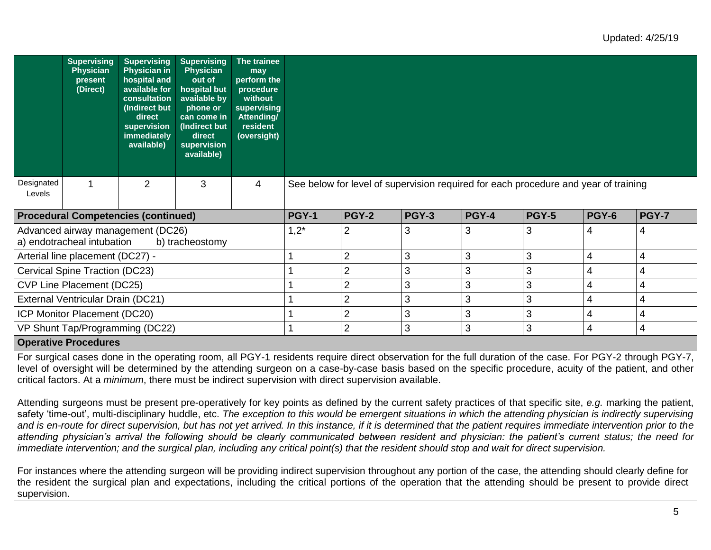|                            | <b>Supervising</b><br><b>Physician</b><br>present<br>(Direct) | <b>Supervising</b><br><b>Physician in</b><br>hospital and<br>available for<br>consultation<br>(Indirect but<br>direct<br>supervision<br>immediately<br>available) | <b>Supervising</b><br>Physician<br>out of<br>hospital but<br>available by<br>phone or<br>can come in<br>(Indirect but<br>direct<br>supervision<br>available) | The trainee<br>may<br>perform the<br>procedure<br>without<br>supervising<br>Attending/<br>resident<br>(oversight) |                                                                                     |                |              |              |              |              |              |
|----------------------------|---------------------------------------------------------------|-------------------------------------------------------------------------------------------------------------------------------------------------------------------|--------------------------------------------------------------------------------------------------------------------------------------------------------------|-------------------------------------------------------------------------------------------------------------------|-------------------------------------------------------------------------------------|----------------|--------------|--------------|--------------|--------------|--------------|
| Designated<br>Levels       |                                                               | $\overline{2}$                                                                                                                                                    | 3                                                                                                                                                            | 4                                                                                                                 | See below for level of supervision required for each procedure and year of training |                |              |              |              |              |              |
|                            |                                                               | <b>Procedural Competencies (continued)</b>                                                                                                                        |                                                                                                                                                              |                                                                                                                   | <b>PGY-1</b>                                                                        | <b>PGY-2</b>   | <b>PGY-3</b> | <b>PGY-4</b> | <b>PGY-5</b> | <b>PGY-6</b> | <b>PGY-7</b> |
|                            | a) endotracheal intubation                                    | Advanced airway management (DC26)                                                                                                                                 | b) tracheostomy                                                                                                                                              |                                                                                                                   | $1,2^*$                                                                             | $\overline{2}$ | З            | 3            | 3            | 4            | 4            |
|                            | Arterial line placement (DC27) -                              |                                                                                                                                                                   |                                                                                                                                                              |                                                                                                                   |                                                                                     | $\overline{2}$ | 3            | 3            | 3            | 4            | 4            |
|                            | Cervical Spine Traction (DC23)                                |                                                                                                                                                                   |                                                                                                                                                              |                                                                                                                   |                                                                                     | $\overline{2}$ | 3            | 3            | 3            | 4            | 4            |
|                            | CVP Line Placement (DC25)                                     |                                                                                                                                                                   |                                                                                                                                                              |                                                                                                                   |                                                                                     | $\overline{2}$ | 3            | 3            | 3            | 4            | 4            |
|                            | External Ventricular Drain (DC21)                             |                                                                                                                                                                   |                                                                                                                                                              |                                                                                                                   |                                                                                     | $\overline{2}$ | 3            | 3            | 3            | 4            | 4            |
|                            | ICP Monitor Placement (DC20)                                  |                                                                                                                                                                   |                                                                                                                                                              |                                                                                                                   |                                                                                     | $\overline{2}$ | 3            | 3            | 3            | 4            | 4            |
|                            |                                                               | VP Shunt Tap/Programming (DC22)                                                                                                                                   |                                                                                                                                                              |                                                                                                                   |                                                                                     | $\overline{2}$ | 3            | 3            | 3            | 4            | 4            |
| Automobile Business Jersey |                                                               |                                                                                                                                                                   |                                                                                                                                                              |                                                                                                                   |                                                                                     |                |              |              |              |              |              |

#### **Operative Procedures**

For surgical cases done in the operating room, all PGY-1 residents require direct observation for the full duration of the case. For PGY-2 through PGY-7, level of oversight will be determined by the attending surgeon on a case-by-case basis based on the specific procedure, acuity of the patient, and other critical factors. At a *minimum*, there must be indirect supervision with direct supervision available.

Attending surgeons must be present pre-operatively for key points as defined by the current safety practices of that specific site, *e.g.* marking the patient, safety 'time-out', multi-disciplinary huddle, etc. The exception to this would be emergent situations in which the attending physician is indirectly supervising and is en-route for direct supervision, but has not yet arrived. In this instance, if it is determined that the patient requires immediate intervention prior to the *attending physician's arrival the following should be clearly communicated between resident and physician: the patient's current status; the need for immediate intervention; and the surgical plan, including any critical point(s) that the resident should stop and wait for direct supervision.* 

For instances where the attending surgeon will be providing indirect supervision throughout any portion of the case, the attending should clearly define for the resident the surgical plan and expectations, including the critical portions of the operation that the attending should be present to provide direct supervision.